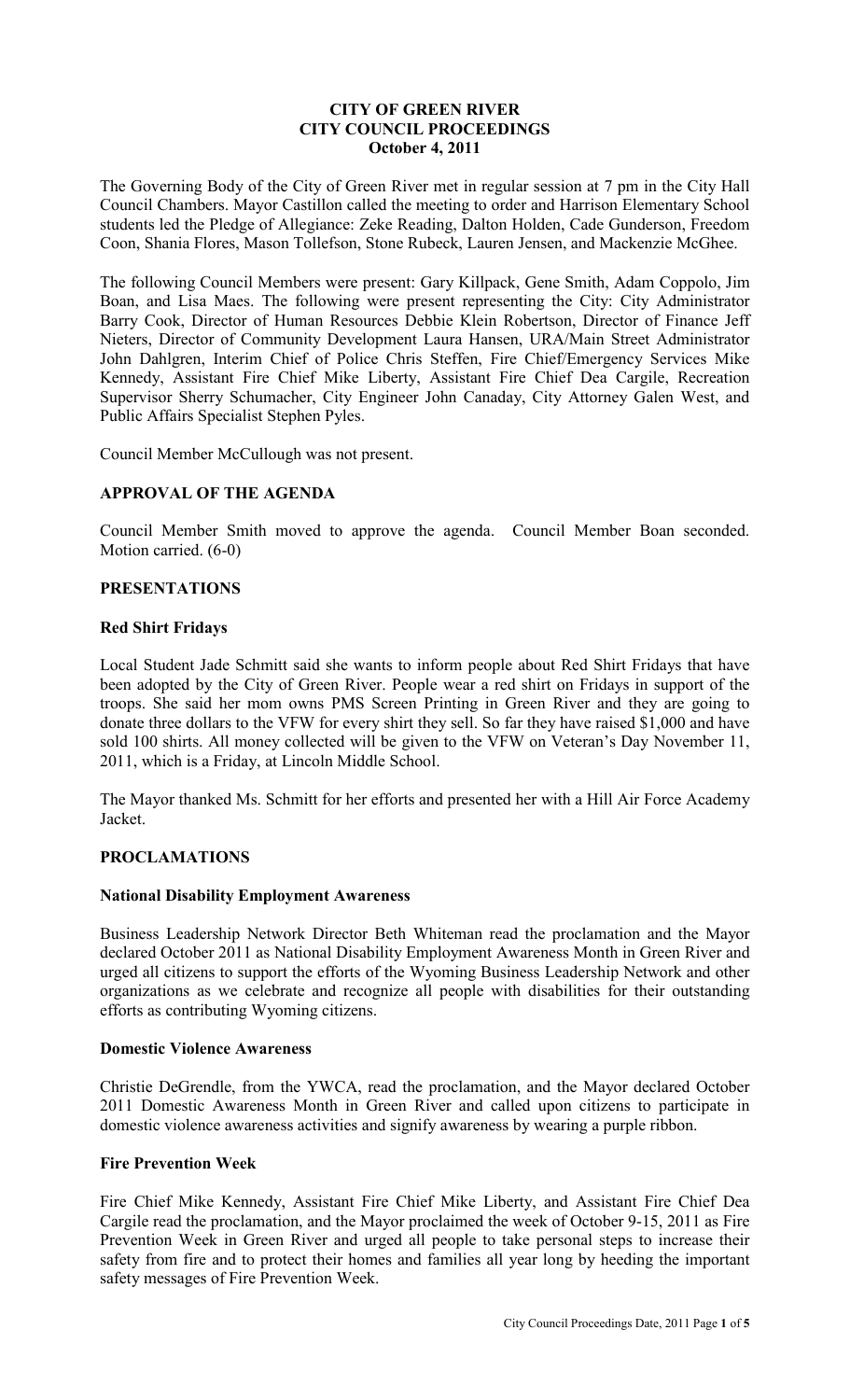## **CITY OF GREEN RIVER CITY COUNCIL PROCEEDINGS October 4, 2011**

The Governing Body of the City of Green River met in regular session at 7 pm in the City Hall Council Chambers. Mayor Castillon called the meeting to order and Harrison Elementary School students led the Pledge of Allegiance: Zeke Reading, Dalton Holden, Cade Gunderson, Freedom Coon, Shania Flores, Mason Tollefson, Stone Rubeck, Lauren Jensen, and Mackenzie McGhee.

The following Council Members were present: Gary Killpack, Gene Smith, Adam Coppolo, Jim Boan, and Lisa Maes. The following were present representing the City: City Administrator Barry Cook, Director of Human Resources Debbie Klein Robertson, Director of Finance Jeff Nieters, Director of Community Development Laura Hansen, URA/Main Street Administrator John Dahlgren, Interim Chief of Police Chris Steffen, Fire Chief/Emergency Services Mike Kennedy, Assistant Fire Chief Mike Liberty, Assistant Fire Chief Dea Cargile, Recreation Supervisor Sherry Schumacher, City Engineer John Canaday, City Attorney Galen West, and Public Affairs Specialist Stephen Pyles.

Council Member McCullough was not present.

# **APPROVAL OF THE AGENDA**

Council Member Smith moved to approve the agenda. Council Member Boan seconded. Motion carried. (6-0)

## **PRESENTATIONS**

### **Red Shirt Fridays**

Local Student Jade Schmitt said she wants to inform people about Red Shirt Fridays that have been adopted by the City of Green River. People wear a red shirt on Fridays in support of the troops. She said her mom owns PMS Screen Printing in Green River and they are going to donate three dollars to the VFW for every shirt they sell. So far they have raised \$1,000 and have sold 100 shirts. All money collected will be given to the VFW on Veteran's Day November 11, 2011, which is a Friday, at Lincoln Middle School.

The Mayor thanked Ms. Schmitt for her efforts and presented her with a Hill Air Force Academy Jacket.

### **PROCLAMATIONS**

### **National Disability Employment Awareness**

Business Leadership Network Director Beth Whiteman read the proclamation and the Mayor declared October 2011 as National Disability Employment Awareness Month in Green River and urged all citizens to support the efforts of the Wyoming Business Leadership Network and other organizations as we celebrate and recognize all people with disabilities for their outstanding efforts as contributing Wyoming citizens.

### **Domestic Violence Awareness**

Christie DeGrendle, from the YWCA, read the proclamation, and the Mayor declared October 2011 Domestic Awareness Month in Green River and called upon citizens to participate in domestic violence awareness activities and signify awareness by wearing a purple ribbon.

# **Fire Prevention Week**

Fire Chief Mike Kennedy, Assistant Fire Chief Mike Liberty, and Assistant Fire Chief Dea Cargile read the proclamation, and the Mayor proclaimed the week of October 9-15, 2011 as Fire Prevention Week in Green River and urged all people to take personal steps to increase their safety from fire and to protect their homes and families all year long by heeding the important safety messages of Fire Prevention Week.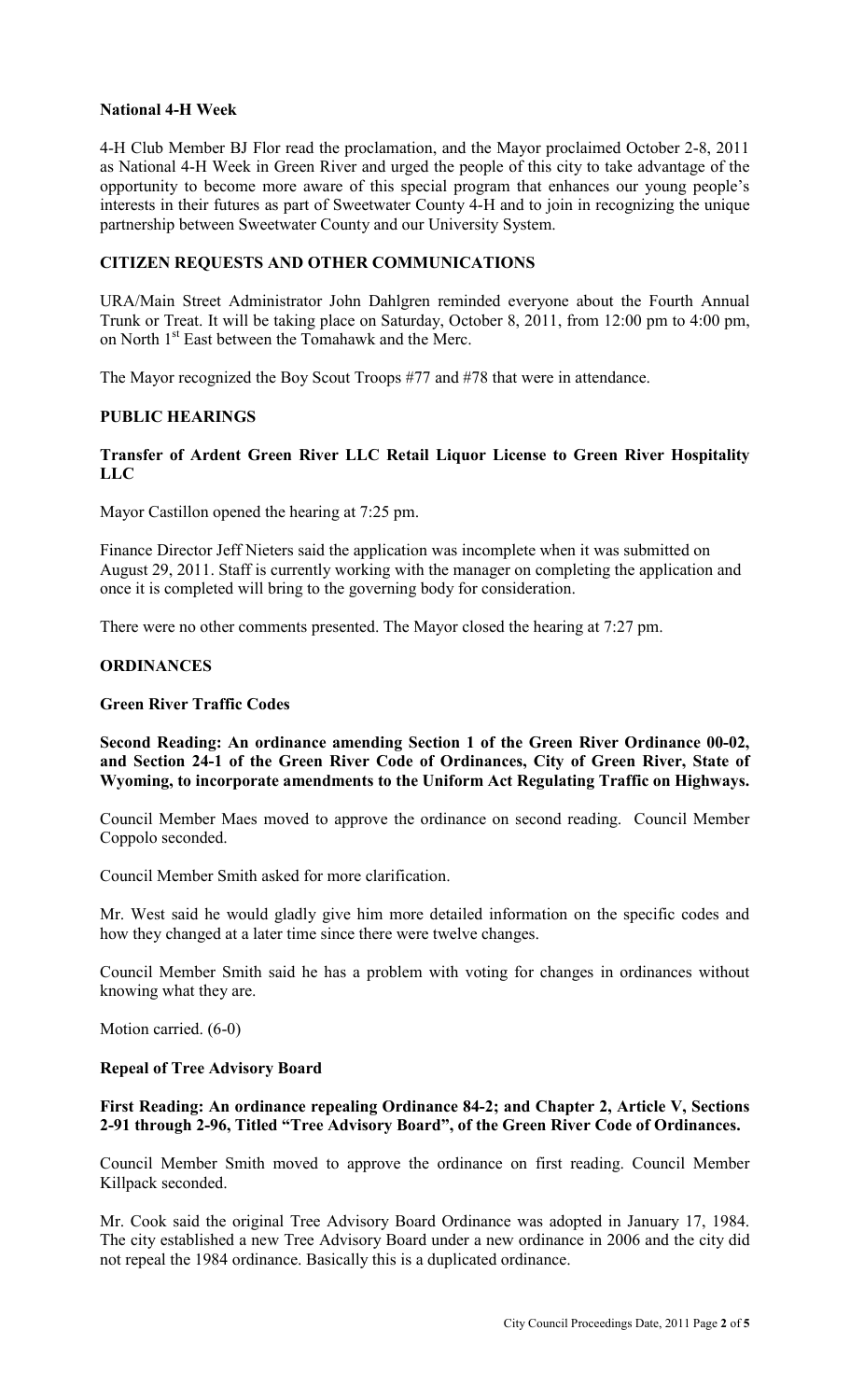## **National 4-H Week**

4-H Club Member BJ Flor read the proclamation, and the Mayor proclaimed October 2-8, 2011 as National 4-H Week in Green River and urged the people of this city to take advantage of the opportunity to become more aware of this special program that enhances our young people's interests in their futures as part of Sweetwater County 4-H and to join in recognizing the unique partnership between Sweetwater County and our University System.

## **CITIZEN REQUESTS AND OTHER COMMUNICATIONS**

URA/Main Street Administrator John Dahlgren reminded everyone about the Fourth Annual Trunk or Treat. It will be taking place on Saturday, October 8, 2011, from 12:00 pm to 4:00 pm, on North 1<sup>st</sup> East between the Tomahawk and the Merc.

The Mayor recognized the Boy Scout Troops #77 and #78 that were in attendance.

### **PUBLIC HEARINGS**

### **Transfer of Ardent Green River LLC Retail Liquor License to Green River Hospitality LLC**

Mayor Castillon opened the hearing at 7:25 pm.

Finance Director Jeff Nieters said the application was incomplete when it was submitted on August 29, 2011. Staff is currently working with the manager on completing the application and once it is completed will bring to the governing body for consideration.

There were no other comments presented. The Mayor closed the hearing at 7:27 pm.

### **ORDINANCES**

#### **Green River Traffic Codes**

**Second Reading: An ordinance amending Section 1 of the Green River Ordinance 00-02, and Section 24-1 of the Green River Code of Ordinances, City of Green River, State of Wyoming, to incorporate amendments to the Uniform Act Regulating Traffic on Highways.** 

Council Member Maes moved to approve the ordinance on second reading. Council Member Coppolo seconded.

Council Member Smith asked for more clarification.

Mr. West said he would gladly give him more detailed information on the specific codes and how they changed at a later time since there were twelve changes.

Council Member Smith said he has a problem with voting for changes in ordinances without knowing what they are.

Motion carried. (6-0)

#### **Repeal of Tree Advisory Board**

## **First Reading: An ordinance repealing Ordinance 84-2; and Chapter 2, Article V, Sections 2-91 through 2-96, Titled "Tree Advisory Board", of the Green River Code of Ordinances.**

Council Member Smith moved to approve the ordinance on first reading. Council Member Killpack seconded.

Mr. Cook said the original Tree Advisory Board Ordinance was adopted in January 17, 1984. The city established a new Tree Advisory Board under a new ordinance in 2006 and the city did not repeal the 1984 ordinance. Basically this is a duplicated ordinance.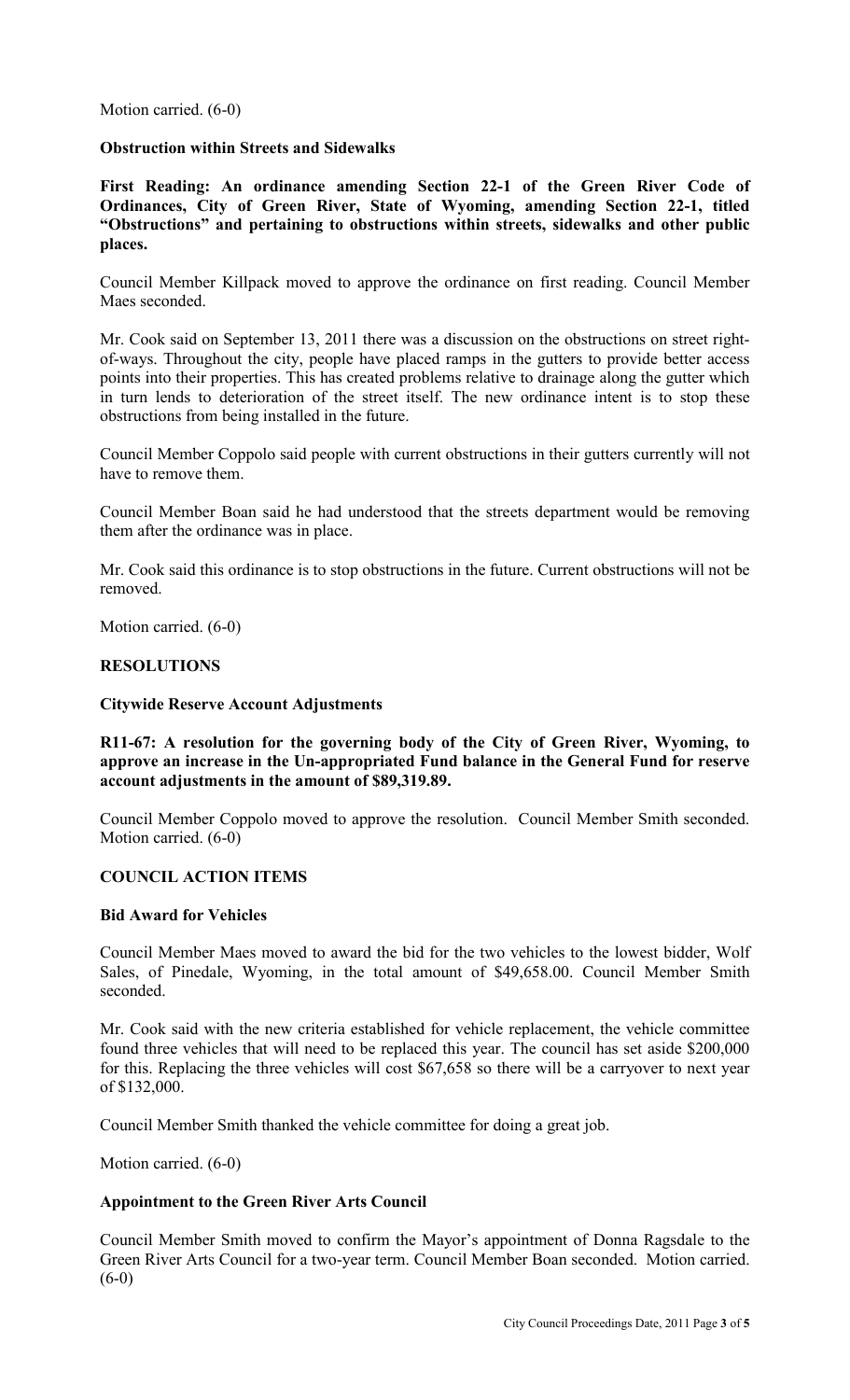Motion carried. (6-0)

### **Obstruction within Streets and Sidewalks**

**First Reading: An ordinance amending Section 22-1 of the Green River Code of Ordinances, City of Green River, State of Wyoming, amending Section 22-1, titled "Obstructions" and pertaining to obstructions within streets, sidewalks and other public places.** 

Council Member Killpack moved to approve the ordinance on first reading. Council Member Maes seconded.

Mr. Cook said on September 13, 2011 there was a discussion on the obstructions on street rightof-ways. Throughout the city, people have placed ramps in the gutters to provide better access points into their properties. This has created problems relative to drainage along the gutter which in turn lends to deterioration of the street itself. The new ordinance intent is to stop these obstructions from being installed in the future.

Council Member Coppolo said people with current obstructions in their gutters currently will not have to remove them.

Council Member Boan said he had understood that the streets department would be removing them after the ordinance was in place.

Mr. Cook said this ordinance is to stop obstructions in the future. Current obstructions will not be removed.

Motion carried. (6-0)

### **RESOLUTIONS**

#### **Citywide Reserve Account Adjustments**

**R11-67: A resolution for the governing body of the City of Green River, Wyoming, to approve an increase in the Un-appropriated Fund balance in the General Fund for reserve account adjustments in the amount of \$89,319.89.** 

Council Member Coppolo moved to approve the resolution. Council Member Smith seconded. Motion carried. (6-0)

#### **COUNCIL ACTION ITEMS**

#### **Bid Award for Vehicles**

Council Member Maes moved to award the bid for the two vehicles to the lowest bidder, Wolf Sales, of Pinedale, Wyoming, in the total amount of \$49,658.00. Council Member Smith seconded.

Mr. Cook said with the new criteria established for vehicle replacement, the vehicle committee found three vehicles that will need to be replaced this year. The council has set aside \$200,000 for this. Replacing the three vehicles will cost \$67,658 so there will be a carryover to next year of \$132,000.

Council Member Smith thanked the vehicle committee for doing a great job.

Motion carried. (6-0)

#### **Appointment to the Green River Arts Council**

Council Member Smith moved to confirm the Mayor's appointment of Donna Ragsdale to the Green River Arts Council for a two-year term. Council Member Boan seconded. Motion carried.  $(6-0)$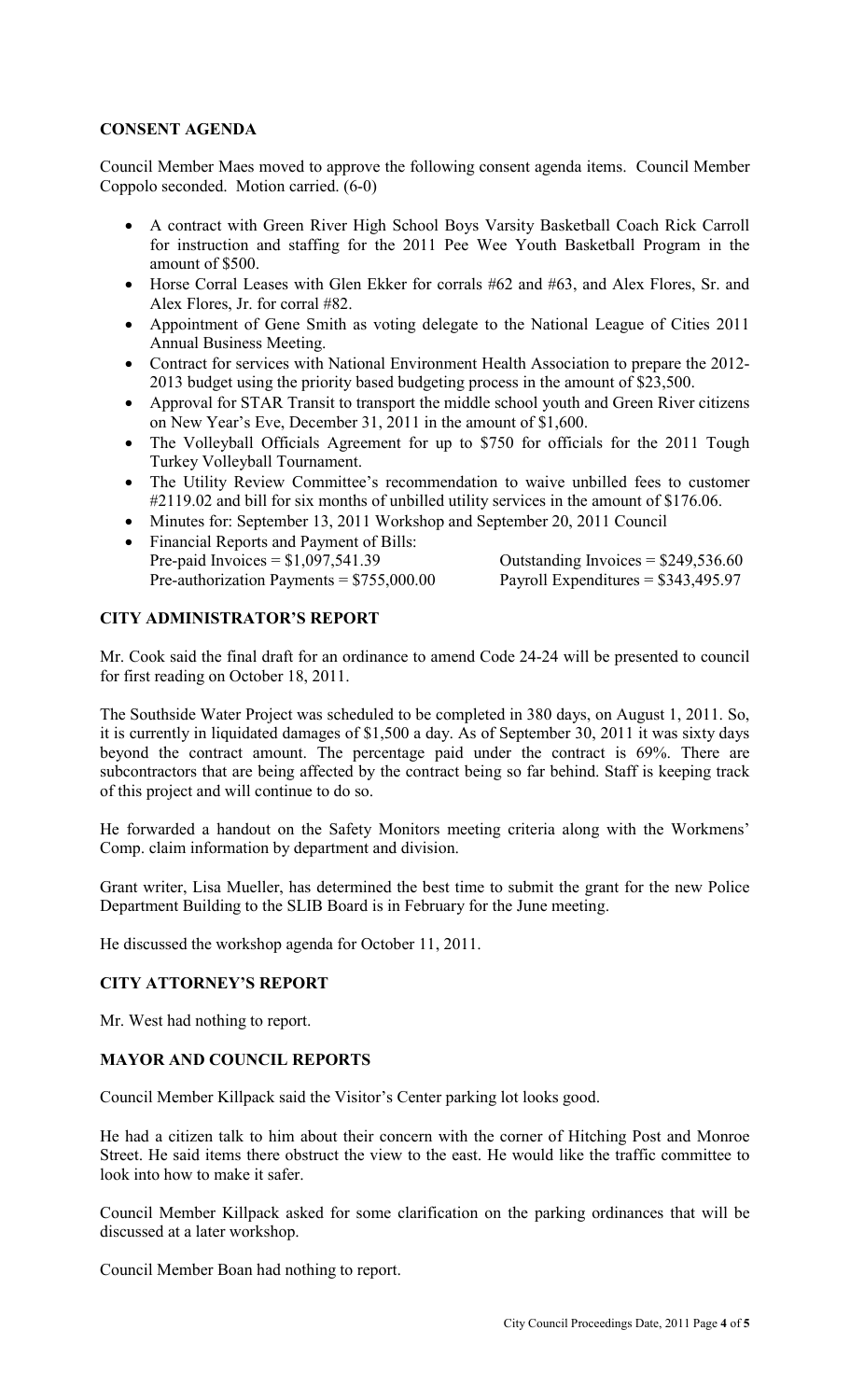## **CONSENT AGENDA**

Council Member Maes moved to approve the following consent agenda items. Council Member Coppolo seconded. Motion carried. (6-0)

- A contract with Green River High School Boys Varsity Basketball Coach Rick Carroll for instruction and staffing for the 2011 Pee Wee Youth Basketball Program in the amount of \$500.
- Horse Corral Leases with Glen Ekker for corrals #62 and #63, and Alex Flores, Sr. and Alex Flores, Jr. for corral #82.
- Appointment of Gene Smith as voting delegate to the National League of Cities 2011 Annual Business Meeting.
- Contract for services with National Environment Health Association to prepare the 2012- 2013 budget using the priority based budgeting process in the amount of \$23,500.
- Approval for STAR Transit to transport the middle school youth and Green River citizens on New Year's Eve, December 31, 2011 in the amount of \$1,600.
- The Volleyball Officials Agreement for up to \$750 for officials for the 2011 Tough Turkey Volleyball Tournament.
- The Utility Review Committee's recommendation to waive unbilled fees to customer #2119.02 and bill for six months of unbilled utility services in the amount of \$176.06.
- Minutes for: September 13, 2011 Workshop and September 20, 2011 Council
- Financial Reports and Payment of Bills: Pre-paid Invoices =  $$1,097,541.39$  Outstanding Invoices =  $$249,536.60$ <br>Pre-authorization Payments =  $$755,000.00$  Payroll Expenditures =  $$343,495.97$ Pre-authorization Payments =  $$755,000.00$

## **CITY ADMINISTRATOR'S REPORT**

Mr. Cook said the final draft for an ordinance to amend Code 24-24 will be presented to council for first reading on October 18, 2011.

The Southside Water Project was scheduled to be completed in 380 days, on August 1, 2011. So, it is currently in liquidated damages of \$1,500 a day. As of September 30, 2011 it was sixty days beyond the contract amount. The percentage paid under the contract is 69%. There are subcontractors that are being affected by the contract being so far behind. Staff is keeping track of this project and will continue to do so.

He forwarded a handout on the Safety Monitors meeting criteria along with the Workmens' Comp. claim information by department and division.

Grant writer, Lisa Mueller, has determined the best time to submit the grant for the new Police Department Building to the SLIB Board is in February for the June meeting.

He discussed the workshop agenda for October 11, 2011.

### **CITY ATTORNEY'S REPORT**

Mr. West had nothing to report.

### **MAYOR AND COUNCIL REPORTS**

Council Member Killpack said the Visitor's Center parking lot looks good.

He had a citizen talk to him about their concern with the corner of Hitching Post and Monroe Street. He said items there obstruct the view to the east. He would like the traffic committee to look into how to make it safer.

Council Member Killpack asked for some clarification on the parking ordinances that will be discussed at a later workshop.

Council Member Boan had nothing to report.